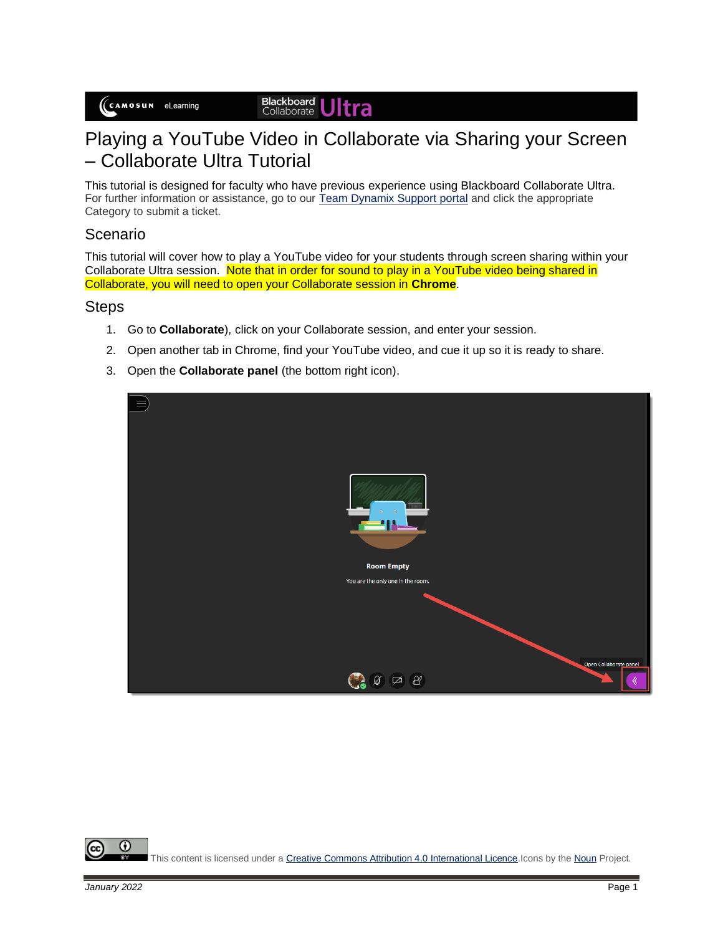#### Blackboard<br>Collaborate Itra

# Playing a YouTube Video in Collaborate via Sharing your Screen – Collaborate Ultra Tutorial

This tutorial is designed for faculty who have previous experience using Blackboard Collaborate Ultra. For further information or assistance, go to our [Team Dynamix Support portal](https://camosun.teamdynamix.com/TDClient/67/Portal/Requests/ServiceCatalog?CategoryID=523) and click the appropriate Category to submit a ticket.

### Scenario

This tutorial will cover how to play a YouTube video for your students through screen sharing within your Collaborate Ultra session. Note that in order for sound to play in a YouTube video being shared in Collaborate, you will need to open your Collaborate session in **Chrome**.

#### **Steps**

- 1. Go to **Collaborate**), click on your Collaborate session, and enter your session.
- 2. Open another tab in Chrome, find your YouTube video, and cue it up so it is ready to share.
- 3. Open the **Collaborate panel** (the bottom right icon).



⋒ This content is licensed under [a Creative Commons Attribution 4.0 International Licence.I](https://creativecommons.org/licenses/by/4.0/)cons by th[e Noun](https://creativecommons.org/website-icons/) Project.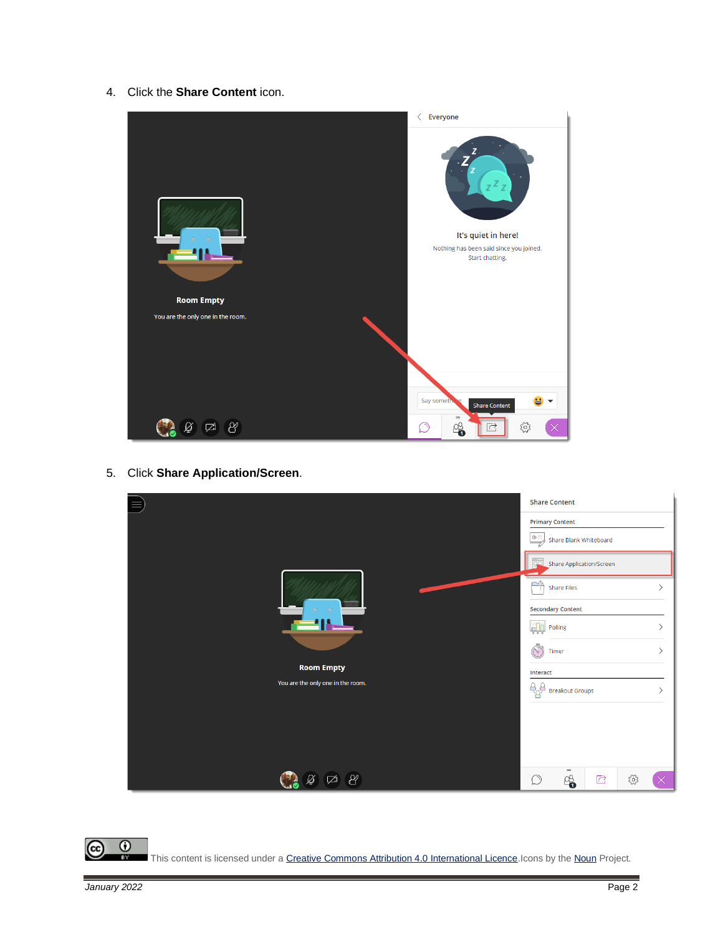4. Click the **Share Content** icon.



5. Click **Share Application/Screen**.

|                                   |                          | <b>Share Content</b>   |                                                  |      |   |  |  |
|-----------------------------------|--------------------------|------------------------|--------------------------------------------------|------|---|--|--|
|                                   |                          |                        | <b>Primary Content</b><br>Share Blank Whiteboard |      |   |  |  |
| $\odot$<br>$\odot$                | Share Application/Screen |                        |                                                  |      |   |  |  |
|                                   | ᡨ                        | Share Files            |                                                  |      |   |  |  |
|                                   | <b>Secondary Content</b> |                        |                                                  |      |   |  |  |
|                                   | <b>qlu</b>               | Polling                |                                                  |      |   |  |  |
|                                   | Cole<br>Timer            |                        |                                                  |      |   |  |  |
| <b>Room Empty</b>                 | Interact                 |                        |                                                  |      |   |  |  |
| You are the only one in the room. | $\frac{9}{8}$            | <b>Breakout Groups</b> |                                                  |      | ゝ |  |  |
|                                   |                          |                        |                                                  |      |   |  |  |
|                                   |                          |                        |                                                  |      |   |  |  |
|                                   |                          | $=$                    |                                                  |      |   |  |  |
| $\mathcal{B}^{\prime}$<br>☑<br>Ø  | $\circledcirc$           | 4                      | $\overline{\mathbb{C}}$                          | స్తో |   |  |  |

 $\circ$ (cc This content is licensed under [a Creative Commons Attribution 4.0 International Licence.I](https://creativecommons.org/licenses/by/4.0/)cons by th[e Noun](https://creativecommons.org/website-icons/) Project.